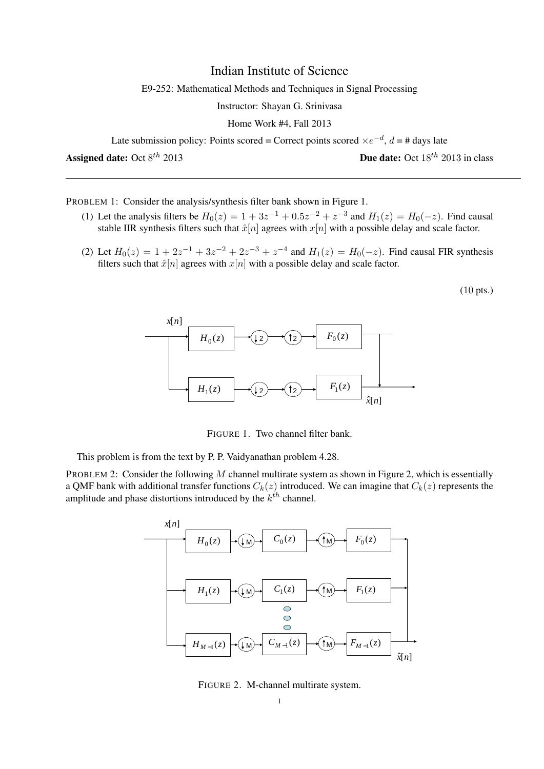## Indian Institute of Science

E9-252: Mathematical Methods and Techniques in Signal Processing

Instructor: Shayan G. Srinivasa

Home Work #4, Fall 2013

Late submission policy: Points scored = Correct points scored  $\times e^{-d}$ ,  $d = \#$  days late

Assigned date: Oct  $8^{th}$  2013

**Due date:** Oct  $18^{th}$  2013 in class

PROBLEM 1: Consider the analysis/synthesis filter bank shown in Figure 1.

- (1) Let the analysis filters be  $H_0(z) = 1 + 3z^{-1} + 0.5z^{-2} + z^{-3}$  and  $H_1(z) = H_0(-z)$ . Find causal stable IIR synthesis filters such that  $\hat{x}[n]$  agrees with  $x[n]$  with a possible delay and scale factor.
- (2) Let  $H_0(z) = 1 + 2z^{-1} + 3z^{-2} + 2z^{-3} + z^{-4}$  and  $H_1(z) = H_0(-z)$ . Find causal FIR synthesis filters such that  $\hat{x}[n]$  agrees with  $x[n]$  with a possible delay and scale factor.

(10 pts.)



FIGURE 1. Two channel filter bank.

This problem is from the text by P. P. Vaidyanathan problem 4.28.

PROBLEM 2: Consider the following M channel multirate system as shown in Figure 2, which is essentially a QMF bank with additional transfer functions  $C_k(z)$  introduced. We can imagine that  $C_k(z)$  represents the amplitude and phase distortions introduced by the  $k^{th}$  channel.



FIGURE 2. M-channel multirate system.